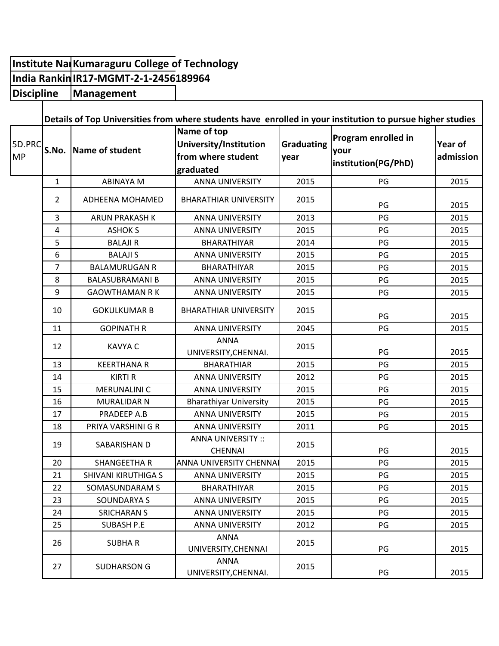## **Institute Na** Kumaraguru College of Technology **India Rankin IR17-MGMT-2-1-2456189964 Management Discipline**

 $\mathbf{I}$ 

|                     | Details of Top Universities from where students have enrolled in your institution to pursue higher studies |                        |                                                                          |                           |                                                    |                      |
|---------------------|------------------------------------------------------------------------------------------------------------|------------------------|--------------------------------------------------------------------------|---------------------------|----------------------------------------------------|----------------------|
| 5D.PRC<br><b>MP</b> |                                                                                                            | S.No. Name of student  | Name of top<br>University/Institution<br>from where student<br>graduated | <b>Graduating</b><br>year | Program enrolled in<br>your<br>institution(PG/PhD) | Year of<br>admission |
|                     | $\mathbf{1}$                                                                                               | <b>ABINAYA M</b>       | <b>ANNA UNIVERSITY</b>                                                   | 2015                      | PG                                                 | 2015                 |
|                     | $\overline{2}$                                                                                             | ADHEENA MOHAMED        | <b>BHARATHIAR UNIVERSITY</b>                                             | 2015                      | PG                                                 | 2015                 |
|                     | 3                                                                                                          | ARUN PRAKASH K         | <b>ANNA UNIVERSITY</b>                                                   | 2013                      | PG                                                 | 2015                 |
|                     | $\pmb{4}$                                                                                                  | <b>ASHOK S</b>         | <b>ANNA UNIVERSITY</b>                                                   | 2015                      | PG                                                 | 2015                 |
|                     | 5                                                                                                          | <b>BALAJI R</b>        | BHARATHIYAR                                                              | 2014                      | PG                                                 | 2015                 |
|                     | 6                                                                                                          | <b>BALAJI S</b>        | <b>ANNA UNIVERSITY</b>                                                   | 2015                      | PG                                                 | 2015                 |
|                     | $\overline{7}$                                                                                             | <b>BALAMURUGAN R</b>   | <b>BHARATHIYAR</b>                                                       | 2015                      | PG                                                 | 2015                 |
|                     | 8                                                                                                          | <b>BALASUBRAMANI B</b> | <b>ANNA UNIVERSITY</b>                                                   | 2015                      | PG                                                 | 2015                 |
|                     | 9                                                                                                          | <b>GAOWTHAMAN R K</b>  | <b>ANNA UNIVERSITY</b>                                                   | 2015                      | PG                                                 | 2015                 |
|                     | 10                                                                                                         | <b>GOKULKUMAR B</b>    | <b>BHARATHIAR UNIVERSITY</b>                                             | 2015                      | PG                                                 | 2015                 |
|                     | 11                                                                                                         | <b>GOPINATH R</b>      | <b>ANNA UNIVERSITY</b>                                                   | 2045                      | PG                                                 | 2015                 |
|                     | 12                                                                                                         | <b>KAVYA C</b>         | <b>ANNA</b><br>UNIVERSITY, CHENNAI.                                      | 2015                      | PG                                                 | 2015                 |
|                     | 13                                                                                                         | <b>KEERTHANA R</b>     | <b>BHARATHIAR</b>                                                        | 2015                      | PG                                                 | 2015                 |
|                     | 14                                                                                                         | <b>KIRTI R</b>         | <b>ANNA UNIVERSITY</b>                                                   | 2012                      | PG                                                 | 2015                 |
|                     | 15                                                                                                         | <b>MERUNALINI C</b>    | <b>ANNA UNIVERSITY</b>                                                   | 2015                      | PG                                                 | 2015                 |
|                     | 16                                                                                                         | <b>MURALIDAR N</b>     | <b>Bharathiyar University</b>                                            | 2015                      | PG                                                 | 2015                 |
|                     | 17                                                                                                         | PRADEEP A.B            | <b>ANNA UNIVERSITY</b>                                                   | 2015                      | PG                                                 | 2015                 |
|                     | 18                                                                                                         | PRIYA VARSHINI G R     | <b>ANNA UNIVERSITY</b>                                                   | 2011                      | PG                                                 | 2015                 |
|                     | 19                                                                                                         | SABARISHAN D           | <b>ANNA UNIVERSITY::</b><br><b>CHENNAI</b>                               | 2015                      | PG                                                 | 2015                 |
|                     | 20                                                                                                         | <b>SHANGEETHA R</b>    | <b>ANNA UNIVERSITY CHENNAI</b>                                           | 2015                      | PG                                                 | 2015                 |
|                     | 21                                                                                                         | SHIVANI KIRUTHIGA S    | <b>ANNA UNIVERSITY</b>                                                   | 2015                      | PG                                                 | 2015                 |
|                     | 22                                                                                                         | SOMASUNDARAM S         | BHARATHIYAR                                                              | 2015                      | PG                                                 | 2015                 |
|                     | 23                                                                                                         | <b>SOUNDARYA S</b>     | <b>ANNA UNIVERSITY</b>                                                   | 2015                      | PG                                                 | 2015                 |
|                     | 24                                                                                                         | <b>SRICHARAN S</b>     | <b>ANNA UNIVERSITY</b>                                                   | 2015                      | PG                                                 | 2015                 |
|                     | 25                                                                                                         | <b>SUBASH P.E</b>      | <b>ANNA UNIVERSITY</b>                                                   | 2012                      | PG                                                 | 2015                 |
|                     | 26                                                                                                         | <b>SUBHAR</b>          | <b>ANNA</b><br>UNIVERSITY, CHENNAI                                       | 2015                      | PG                                                 | 2015                 |
|                     | 27                                                                                                         | <b>SUDHARSON G</b>     | ANNA<br>UNIVERSITY, CHENNAI.                                             | 2015                      | PG                                                 | 2015                 |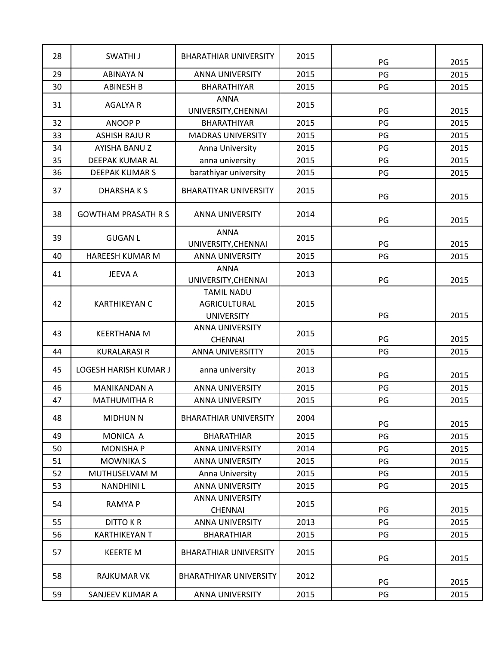| 28 | SWATHI J                   | <b>BHARATHIAR UNIVERSITY</b>                                  | 2015 | PG | 2015 |
|----|----------------------------|---------------------------------------------------------------|------|----|------|
| 29 | <b>ABINAYA N</b>           | <b>ANNA UNIVERSITY</b>                                        | 2015 | PG | 2015 |
| 30 | <b>ABINESH B</b>           | <b>BHARATHIYAR</b>                                            | 2015 | PG | 2015 |
| 31 | <b>AGALYA R</b>            | <b>ANNA</b><br>UNIVERSITY, CHENNAI                            | 2015 | PG | 2015 |
| 32 | <b>ANOOP P</b>             | <b>BHARATHIYAR</b>                                            | 2015 | PG | 2015 |
| 33 | <b>ASHISH RAJU R</b>       | <b>MADRAS UNIVERSITY</b>                                      | 2015 | PG | 2015 |
| 34 | AYISHA BANUZ               | Anna University                                               | 2015 | PG | 2015 |
| 35 | DEEPAK KUMAR AL            | anna university                                               | 2015 | PG | 2015 |
| 36 | <b>DEEPAK KUMAR S</b>      | barathiyar university                                         | 2015 | PG | 2015 |
| 37 | DHARSHAKS                  | <b>BHARATIYAR UNIVERSITY</b>                                  | 2015 | PG | 2015 |
| 38 | <b>GOWTHAM PRASATH R S</b> | <b>ANNA UNIVERSITY</b>                                        | 2014 | PG | 2015 |
| 39 | <b>GUGAN L</b>             | <b>ANNA</b><br>UNIVERSITY, CHENNAI                            | 2015 | PG | 2015 |
| 40 | HAREESH KUMAR M            | <b>ANNA UNIVERSITY</b>                                        | 2015 | PG | 2015 |
| 41 | <b>JEEVA A</b>             | <b>ANNA</b><br>UNIVERSITY, CHENNAI                            | 2013 | PG | 2015 |
| 42 | <b>KARTHIKEYAN C</b>       | <b>TAMIL NADU</b><br><b>AGRICULTURAL</b><br><b>UNIVERSITY</b> | 2015 | PG | 2015 |
| 43 | <b>KEERTHANA M</b>         | <b>ANNA UNIVERSITY</b><br><b>CHENNAI</b>                      | 2015 | PG | 2015 |
| 44 | <b>KURALARASI R</b>        | <b>ANNA UNIVERSITTY</b>                                       | 2015 | PG | 2015 |
| 45 | LOGESH HARISH KUMAR J      | anna university                                               | 2013 | PG | 2015 |
| 46 | MANIKANDAN A               | <b>ANNA UNIVERSITY</b>                                        | 2015 | PG | 2015 |
| 47 | <b>MATHUMITHA R</b>        | <b>ANNA UNIVERSITY</b>                                        | 2015 | PG | 2015 |
| 48 | <b>MIDHUN N</b>            | <b>BHARATHIAR UNIVERSITY</b>                                  | 2004 | PG | 2015 |
| 49 | MONICA A                   | <b>BHARATHIAR</b>                                             | 2015 | PG | 2015 |
| 50 | <b>MONISHA P</b>           | <b>ANNA UNIVERSITY</b>                                        | 2014 | PG | 2015 |
| 51 | <b>MOWNIKA S</b>           | <b>ANNA UNIVERSITY</b>                                        | 2015 | PG | 2015 |
| 52 | MUTHUSELVAM M              | Anna University                                               | 2015 | PG | 2015 |
| 53 | <b>NANDHINI L</b>          | <b>ANNA UNIVERSITY</b>                                        | 2015 | PG | 2015 |
| 54 | <b>RAMYA P</b>             | ANNA UNIVERSITY<br><b>CHENNAI</b>                             | 2015 | PG | 2015 |
| 55 | <b>DITTO KR</b>            | <b>ANNA UNIVERSITY</b>                                        | 2013 | PG | 2015 |
| 56 | <b>KARTHIKEYAN T</b>       | <b>BHARATHIAR</b>                                             | 2015 | PG | 2015 |
| 57 | <b>KEERTE M</b>            | <b>BHARATHIAR UNIVERSITY</b>                                  | 2015 | PG | 2015 |
| 58 | RAJKUMAR VK                | <b>BHARATHIYAR UNIVERSITY</b>                                 | 2012 | PG | 2015 |
| 59 | SANJEEV KUMAR A            | ANNA UNIVERSITY                                               | 2015 | PG | 2015 |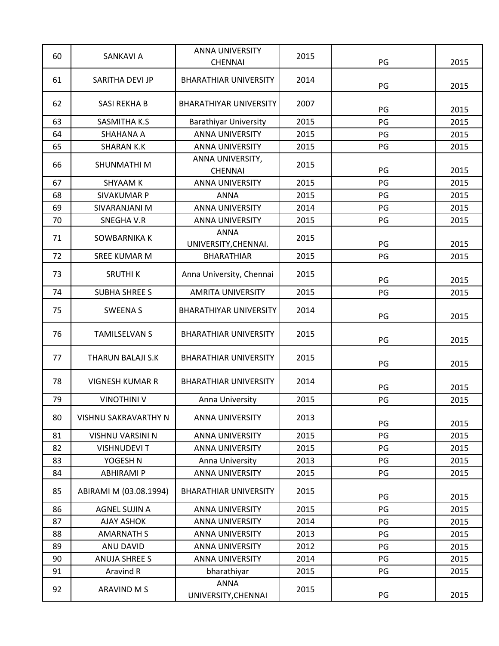| 60 | <b>SANKAVI A</b>         | <b>ANNA UNIVERSITY</b><br><b>CHENNAI</b> | 2015 | PG | 2015 |
|----|--------------------------|------------------------------------------|------|----|------|
| 61 | SARITHA DEVI JP          | <b>BHARATHIAR UNIVERSITY</b>             | 2014 |    |      |
|    |                          |                                          |      | PG | 2015 |
| 62 | SASI REKHA B             | <b>BHARATHIYAR UNIVERSITY</b>            | 2007 | PG | 2015 |
| 63 | SASMITHA K.S             | <b>Barathiyar University</b>             | 2015 | PG | 2015 |
| 64 | SHAHANA A                | <b>ANNA UNIVERSITY</b>                   | 2015 | PG | 2015 |
| 65 | <b>SHARAN K.K</b>        | <b>ANNA UNIVERSITY</b>                   | 2015 | PG | 2015 |
| 66 | SHUNMATHI M              | ANNA UNIVERSITY,<br><b>CHENNAI</b>       | 2015 | PG | 2015 |
| 67 | <b>SHYAAM K</b>          | <b>ANNA UNIVERSITY</b>                   | 2015 | PG | 2015 |
| 68 | SIVAKUMAR P              | <b>ANNA</b>                              | 2015 | PG | 2015 |
| 69 | SIVARANJANI M            | <b>ANNA UNIVERSITY</b>                   | 2014 | PG | 2015 |
| 70 | <b>SNEGHAV.R</b>         | <b>ANNA UNIVERSITY</b>                   | 2015 | PG | 2015 |
| 71 | SOWBARNIKA K             | <b>ANNA</b><br>UNIVERSITY, CHENNAI.      | 2015 | PG | 2015 |
| 72 | <b>SREE KUMAR M</b>      | <b>BHARATHIAR</b>                        | 2015 | PG | 2015 |
| 73 | <b>SRUTHIK</b>           | Anna University, Chennai                 | 2015 | PG | 2015 |
| 74 | <b>SUBHA SHREE S</b>     | <b>AMRITA UNIVERSITY</b>                 | 2015 | PG | 2015 |
| 75 | <b>SWEENAS</b>           | <b>BHARATHIYAR UNIVERSITY</b>            | 2014 | PG | 2015 |
| 76 | <b>TAMILSELVAN S</b>     | <b>BHARATHIAR UNIVERSITY</b>             | 2015 | PG | 2015 |
| 77 | <b>THARUN BALAJI S.K</b> | <b>BHARATHIAR UNIVERSITY</b>             | 2015 | PG | 2015 |
| 78 | <b>VIGNESH KUMAR R</b>   | <b>BHARATHIAR UNIVERSITY</b>             | 2014 | PG | 2015 |
| 79 | <b>VINOTHINI V</b>       | Anna University                          | 2015 | PG | 2015 |
| 80 | VISHNU SAKRAVARTHY N     | <b>ANNA UNIVERSITY</b>                   | 2013 | PG | 2015 |
| 81 | VISHNU VARSINI N         | <b>ANNA UNIVERSITY</b>                   | 2015 | PG | 2015 |
| 82 | <b>VISHNUDEVIT</b>       | <b>ANNA UNIVERSITY</b>                   | 2015 | PG | 2015 |
| 83 | YOGESH N                 | Anna University                          | 2013 | PG | 2015 |
| 84 | <b>ABHIRAMI P</b>        | <b>ANNA UNIVERSITY</b>                   | 2015 | PG | 2015 |
| 85 | ABIRAMI M (03.08.1994)   | <b>BHARATHIAR UNIVERSITY</b>             | 2015 | PG | 2015 |
| 86 | <b>AGNEL SUJIN A</b>     | <b>ANNA UNIVERSITY</b>                   | 2015 | PG | 2015 |
| 87 | <b>AJAY ASHOK</b>        | <b>ANNA UNIVERSITY</b>                   | 2014 | PG | 2015 |
| 88 | <b>AMARNATH S</b>        | <b>ANNA UNIVERSITY</b>                   | 2013 | PG | 2015 |
| 89 | ANU DAVID                | ANNA UNIVERSITY                          | 2012 | PG | 2015 |
| 90 | <b>ANUJA SHREE S</b>     | <b>ANNA UNIVERSITY</b>                   | 2014 | PG | 2015 |
| 91 | Aravind R                | bharathiyar                              | 2015 | PG | 2015 |
| 92 | ARAVIND M S              | <b>ANNA</b><br>UNIVERSITY, CHENNAI       | 2015 | PG | 2015 |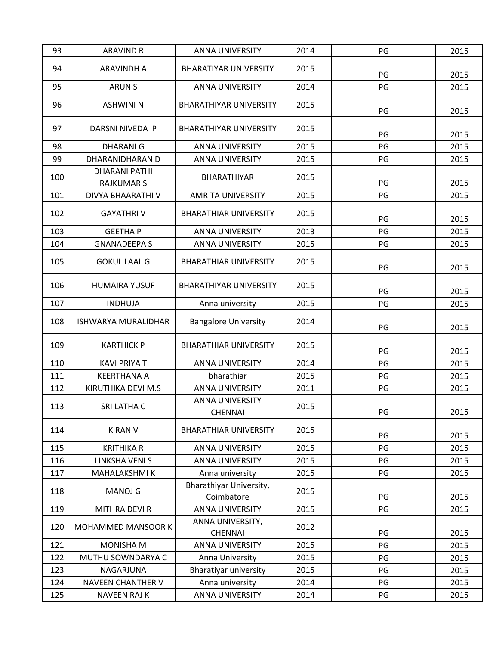| 93  | <b>ARAVIND R</b>                          | <b>ANNA UNIVERSITY</b>                   | 2014 | PG | 2015 |
|-----|-------------------------------------------|------------------------------------------|------|----|------|
| 94  | <b>ARAVINDH A</b>                         | <b>BHARATIYAR UNIVERSITY</b>             | 2015 | PG | 2015 |
| 95  | <b>ARUN S</b>                             | <b>ANNA UNIVERSITY</b>                   | 2014 | PG | 2015 |
| 96  | <b>ASHWINI N</b>                          | <b>BHARATHIYAR UNIVERSITY</b>            | 2015 | PG | 2015 |
| 97  | DARSNI NIVEDA P                           | <b>BHARATHIYAR UNIVERSITY</b>            | 2015 | PG | 2015 |
| 98  | <b>DHARANIG</b>                           | <b>ANNA UNIVERSITY</b>                   | 2015 | PG | 2015 |
| 99  | DHARANIDHARAN D                           | <b>ANNA UNIVERSITY</b>                   | 2015 | PG | 2015 |
| 100 | <b>DHARANI PATHI</b><br><b>RAJKUMAR S</b> | BHARATHIYAR                              | 2015 | PG | 2015 |
| 101 | DIVYA BHAARATHI V                         | <b>AMRITA UNIVERSITY</b>                 | 2015 | PG | 2015 |
| 102 | <b>GAYATHRIV</b>                          | <b>BHARATHIAR UNIVERSITY</b>             | 2015 | PG | 2015 |
| 103 | <b>GEETHAP</b>                            | <b>ANNA UNIVERSITY</b>                   | 2013 | PG | 2015 |
| 104 | <b>GNANADEEPA S</b>                       | <b>ANNA UNIVERSITY</b>                   | 2015 | PG | 2015 |
| 105 | <b>GOKUL LAAL G</b>                       | <b>BHARATHIAR UNIVERSITY</b>             | 2015 | PG | 2015 |
| 106 | <b>HUMAIRA YUSUF</b>                      | <b>BHARATHIYAR UNIVERSITY</b>            | 2015 | PG | 2015 |
| 107 | <b>INDHUJA</b>                            | Anna university                          | 2015 | PG | 2015 |
| 108 | <b>ISHWARYA MURALIDHAR</b>                | <b>Bangalore University</b>              | 2014 | PG | 2015 |
| 109 | <b>KARTHICK P</b>                         | <b>BHARATHIAR UNIVERSITY</b>             | 2015 | PG | 2015 |
| 110 | <b>KAVI PRIYA T</b>                       | <b>ANNA UNIVERSITY</b>                   | 2014 | PG | 2015 |
| 111 | <b>KEERTHANA A</b>                        | bharathiar                               | 2015 | PG | 2015 |
| 112 | KIRUTHIKA DEVI M.S                        | <b>ANNA UNIVERSITY</b>                   | 2011 | PG | 2015 |
| 113 | SRI LATHA C                               | <b>ANNA UNIVERSITY</b><br><b>CHENNAI</b> | 2015 | PG | 2015 |
| 114 | <b>KIRAN V</b>                            | <b>BHARATHIAR UNIVERSITY</b>             | 2015 | PG | 2015 |
| 115 | <b>KRITHIKA R</b>                         | <b>ANNA UNIVERSITY</b>                   | 2015 | PG | 2015 |
| 116 | <b>LINKSHA VENIS</b>                      | <b>ANNA UNIVERSITY</b>                   | 2015 | PG | 2015 |
| 117 | MAHALAKSHMI K                             | Anna university                          | 2015 | PG | 2015 |
| 118 | <b>MANOJ G</b>                            | Bharathiyar University,<br>Coimbatore    | 2015 | PG | 2015 |
| 119 | MITHRA DEVI R                             | <b>ANNA UNIVERSITY</b>                   | 2015 | PG | 2015 |
| 120 | MOHAMMED MANSOOR K                        | ANNA UNIVERSITY,<br><b>CHENNAI</b>       | 2012 | PG | 2015 |
| 121 | MONISHA M                                 | <b>ANNA UNIVERSITY</b>                   | 2015 | PG | 2015 |
| 122 | MUTHU SOWNDARYA C                         | Anna University                          | 2015 | PG | 2015 |
| 123 | NAGARJUNA                                 | <b>Bharatiyar university</b>             | 2015 | PG | 2015 |
| 124 | <b>NAVEEN CHANTHER V</b>                  | Anna university                          | 2014 | PG | 2015 |
| 125 | <b>NAVEEN RAJ K</b>                       | ANNA UNIVERSITY                          | 2014 | PG | 2015 |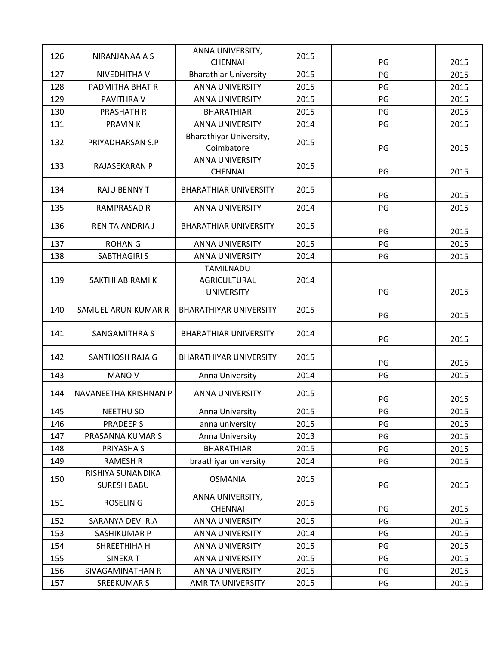| 126 | NIRANJANAA A S                          | ANNA UNIVERSITY,                         | 2015 |    |      |
|-----|-----------------------------------------|------------------------------------------|------|----|------|
|     |                                         | <b>CHENNAI</b>                           |      | PG | 2015 |
| 127 | NIVEDHITHA V                            | <b>Bharathiar University</b>             | 2015 | PG | 2015 |
| 128 | PADMITHA BHAT R                         | <b>ANNA UNIVERSITY</b>                   | 2015 | PG | 2015 |
| 129 | PAVITHRA V                              | <b>ANNA UNIVERSITY</b>                   | 2015 | PG | 2015 |
| 130 | <b>PRASHATH R</b>                       | <b>BHARATHIAR</b>                        | 2015 | PG | 2015 |
| 131 | <b>PRAVINK</b>                          | <b>ANNA UNIVERSITY</b>                   | 2014 | PG | 2015 |
| 132 | PRIYADHARSAN S.P                        | Bharathiyar University,<br>Coimbatore    | 2015 | PG | 2015 |
| 133 | RAJASEKARAN P                           | <b>ANNA UNIVERSITY</b><br><b>CHENNAI</b> | 2015 | PG | 2015 |
| 134 | <b>RAJU BENNY T</b>                     | <b>BHARATHIAR UNIVERSITY</b>             | 2015 | PG | 2015 |
| 135 | <b>RAMPRASAD R</b>                      | ANNA UNIVERSITY                          | 2014 | PG | 2015 |
| 136 | RENITA ANDRIA J                         | <b>BHARATHIAR UNIVERSITY</b>             | 2015 | PG | 2015 |
| 137 | <b>ROHAN G</b>                          | <b>ANNA UNIVERSITY</b>                   | 2015 | PG | 2015 |
| 138 | <b>SABTHAGIRI S</b>                     | <b>ANNA UNIVERSITY</b>                   | 2014 | PG | 2015 |
|     |                                         | <b>TAMILNADU</b>                         |      |    |      |
| 139 | SAKTHI ABIRAMI K                        | <b>AGRICULTURAL</b>                      | 2014 |    |      |
|     |                                         | <b>UNIVERSITY</b>                        |      | PG | 2015 |
| 140 | SAMUEL ARUN KUMAR R                     | <b>BHARATHIYAR UNIVERSITY</b>            | 2015 | PG | 2015 |
| 141 | SANGAMITHRA S                           | <b>BHARATHIAR UNIVERSITY</b>             | 2014 | PG | 2015 |
| 142 | SANTHOSH RAJA G                         | <b>BHARATHIYAR UNIVERSITY</b>            | 2015 | PG | 2015 |
| 143 | MANO V                                  | Anna University                          | 2014 | PG | 2015 |
| 144 | NAVANEETHA KRISHNAN P                   | <b>ANNA UNIVERSITY</b>                   | 2015 | PG | 2015 |
| 145 | <b>NEETHU SD</b>                        | Anna University                          | 2015 | РG | 2015 |
| 146 | <b>PRADEEPS</b>                         | anna university                          | 2015 | PG | 2015 |
| 147 | PRASANNA KUMAR S                        | Anna University                          | 2013 | PG | 2015 |
| 148 | PRIYASHA S                              | <b>BHARATHIAR</b>                        | 2015 | PG | 2015 |
| 149 | RAMESH R                                | braathiyar university                    | 2014 | PG | 2015 |
| 150 | RISHIYA SUNANDIKA<br><b>SURESH BABU</b> | <b>OSMANIA</b>                           | 2015 | PG | 2015 |
| 151 | <b>ROSELING</b>                         | ANNA UNIVERSITY,<br><b>CHENNAI</b>       | 2015 | PG | 2015 |
| 152 | SARANYA DEVI R.A                        | <b>ANNA UNIVERSITY</b>                   | 2015 | PG | 2015 |
| 153 | SASHIKUMAR P                            | <b>ANNA UNIVERSITY</b>                   | 2014 | PG | 2015 |
| 154 | SHREETHIHA H                            | ANNA UNIVERSITY                          | 2015 | PG | 2015 |
| 155 | <b>SINEKAT</b>                          | <b>ANNA UNIVERSITY</b>                   | 2015 | PG | 2015 |
| 156 | SIVAGAMINATHAN R                        | <b>ANNA UNIVERSITY</b>                   | 2015 | PG | 2015 |
| 157 | <b>SREEKUMAR S</b>                      | <b>AMRITA UNIVERSITY</b>                 | 2015 | PG | 2015 |